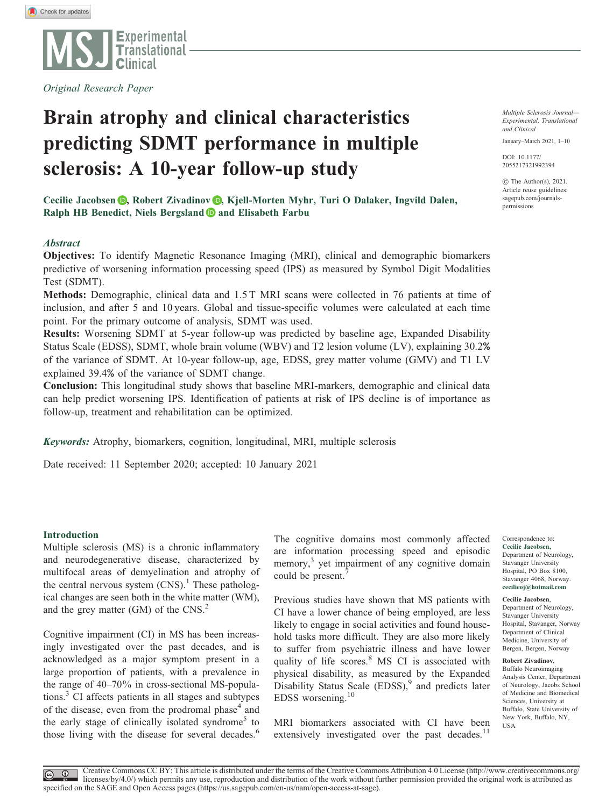

Original Research Paper

# Brain atrophy and clinical characteristics predicting SDMT performance in multiple sclerosis: A 10-year follow-up study

Cecilie Jacobsen **D**[,](https://orcid.org/0000-0002-7799-1485) Robert Zivadinov **D**, Kjell-Morten Myhr, Turi O Dalaker, Ingvild Dalen, Ralph HB Benedict, Niels Bergsland  $\bullet$  and Elisabeth Farbu

# **Abstract**

Objectives: To identify Magnetic Resonance Imaging (MRI), clinical and demographic biomarkers predictive of worsening information processing speed (IPS) as measured by Symbol Digit Modalities Test (SDMT).

Methods: Demographic, clinical data and 1.5 T MRI scans were collected in 76 patients at time of inclusion, and after 5 and 10 years. Global and tissue-specific volumes were calculated at each time point. For the primary outcome of analysis, SDMT was used.

Results: Worsening SDMT at 5-year follow-up was predicted by baseline age, Expanded Disability Status Scale (EDSS), SDMT, whole brain volume (WBV) and T2 lesion volume (LV), explaining 30.2% of the variance of SDMT. At 10-year follow-up, age, EDSS, grey matter volume (GMV) and T1 LV explained 39.4% of the variance of SDMT change.

Conclusion: This longitudinal study shows that baseline MRI-markers, demographic and clinical data can help predict worsening IPS. Identification of patients at risk of IPS decline is of importance as follow-up, treatment and rehabilitation can be optimized.

Keywords: Atrophy, biomarkers, cognition, longitudinal, MRI, multiple sclerosis

Date received: 11 September 2020; accepted: 10 January 2021

## Introduction

Multiple sclerosis (MS) is a chronic inflammatory and neurodegenerative disease, characterized by multifocal areas of demyelination and atrophy of the central nervous system  $(CNS)^{1}$ . These pathological changes are seen both in the white matter (WM), and the grey matter (GM) of the CNS.<sup>2</sup>

Cognitive impairment (CI) in MS has been increasingly investigated over the past decades, and is acknowledged as a major symptom present in a large proportion of patients, with a prevalence in the range of 40–70% in cross-sectional MS-populations.<sup>3</sup> CI affects patients in all stages and subtypes of the disease, even from the prodromal phase<sup>4</sup> and the early stage of clinically isolated syndrome<sup>5</sup> to those living with the disease for several decades.<sup>6</sup>

The cognitive domains most commonly affected are information processing speed and episodic memory,<sup>3</sup> yet impairment of any cognitive domain could be present.

Previous studies have shown that MS patients with CI have a lower chance of being employed, are less likely to engage in social activities and found household tasks more difficult. They are also more likely to suffer from psychiatric illness and have lower quality of life scores.<sup>8</sup> MS CI is associated with physical disability, as measured by the Expanded Disability Status Scale  $(EDSS)$ , and predicts later EDSS worsening.10

MRI biomarkers associated with CI have been extensively investigated over the past decades.<sup>11</sup>

Multiple Sclerosis Journal— Experimental, Translational and Clinical

January–March 2021, 1–10

[DOI: 10.1177/](http://dx.doi.org/10.1177/2055217321992394) [2055217321992394](http://dx.doi.org/10.1177/2055217321992394)

 $\odot$  The Author(s), 2021. Article reuse guidelines: [sagepub.com/journals](http://uk.sagepub.com/en-gb/journals-permissions)[permissions](http://uk.sagepub.com/en-gb/journals-permissions)

Cecilie Jacobsen, Department of Neurology, Stavanger University Hospital, PO Box 8100, Stavanger 4068, Norway. [cecilieoj@hotmail.com](mailto:cecilieoj@hotmail.com)

Correspondence to:

Cecilie Jacobsen,

Department of Neurology, Stavanger University Hospital, Stavanger, Norway Department of Clinical Medicine, University of Bergen, Bergen, Norway

#### Robert Zivadinov,

Buffalo Neuroimaging Analysis Center, Department of Neurology, Jacobs School of Medicine and Biomedical Sciences, University at Buffalo, State University of New York, Buffalo, NY, USA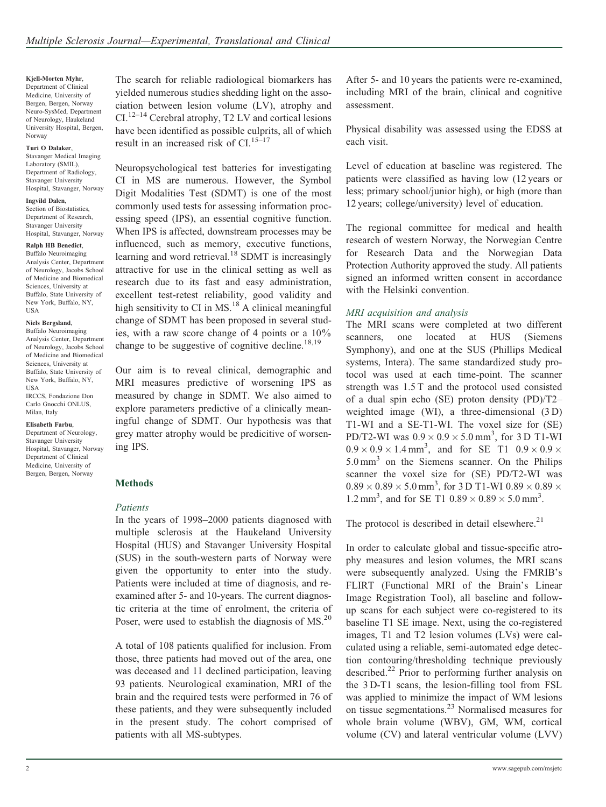Kjell-Morten Myhr, Department of Clinical Medicine, University of Bergen, Bergen, Norway Neuro-SysMed, Department of Neurology, Haukeland University Hospital, Bergen, Norway

#### Turi O Dalaker,

Stavanger Medical Imaging Laboratory (SMIL), Department of Radiology, Stavanger University Hospital, Stavanger, Norway

Ingvild Dalen, Section of Biostatistics, Department of Research, Stavanger University Hospital, Stavanger, Norway

# Ralph HB Benedict,

Buffalo Neuroimaging Analysis Center, Department of Neurology, Jacobs School of Medicine and Biomedical Sciences, University at Buffalo, State University of New York, Buffalo, NY, **USA** 

#### Niels Bergsland,

Buffalo Neuroimaging Analysis Center, Department of Neurology, Jacobs School of Medicine and Biomedical Sciences, University at Buffalo, State University of New York, Buffalo, NY, USA IRCCS, Fondazione Don Carlo Gnocchi ONLUS,

#### Elisabeth Farbu,

Milan, Italy

Department of Neurology, Stavanger University Hospital, Stavanger, Norway Department of Clinical Medicine, University of Bergen, Bergen, Norway

The search for reliable radiological biomarkers has yielded numerous studies shedding light on the association between lesion volume (LV), atrophy and  $CL^{12-14}$  Cerebral atrophy, T2 LV and cortical lesions have been identified as possible culprits, all of which result in an increased risk of CI. $15-17$ 

Neuropsychological test batteries for investigating CI in MS are numerous. However, the Symbol Digit Modalities Test (SDMT) is one of the most commonly used tests for assessing information processing speed (IPS), an essential cognitive function. When IPS is affected, downstream processes may be influenced, such as memory, executive functions, learning and word retrieval.<sup>18</sup> SDMT is increasingly attractive for use in the clinical setting as well as research due to its fast and easy administration, excellent test-retest reliability, good validity and high sensitivity to CI in  $MS<sup>18</sup>$  A clinical meaningful change of SDMT has been proposed in several studies, with a raw score change of 4 points or a 10% change to be suggestive of cognitive decline.<sup>18,19</sup>

Our aim is to reveal clinical, demographic and MRI measures predictive of worsening IPS as measured by change in SDMT. We also aimed to explore parameters predictive of a clinically meaningful change of SDMT. Our hypothesis was that grey matter atrophy would be predicitive of worsening IPS.

## Methods

# Patients

In the years of 1998–2000 patients diagnosed with multiple sclerosis at the Haukeland University Hospital (HUS) and Stavanger University Hospital (SUS) in the south-western parts of Norway were given the opportunity to enter into the study. Patients were included at time of diagnosis, and reexamined after 5- and 10-years. The current diagnostic criteria at the time of enrolment, the criteria of Poser, were used to establish the diagnosis of MS.<sup>20</sup>

A total of 108 patients qualified for inclusion. From those, three patients had moved out of the area, one was deceased and 11 declined participation, leaving 93 patients. Neurological examination, MRI of the brain and the required tests were performed in 76 of these patients, and they were subsequently included in the present study. The cohort comprised of patients with all MS-subtypes.

After 5- and 10 years the patients were re-examined, including MRI of the brain, clinical and cognitive assessment.

Physical disability was assessed using the EDSS at each visit.

Level of education at baseline was registered. The patients were classified as having low (12 years or less; primary school/junior high), or high (more than 12 years; college/university) level of education.

The regional committee for medical and health research of western Norway, the Norwegian Centre for Research Data and the Norwegian Data Protection Authority approved the study. All patients signed an informed written consent in accordance with the Helsinki convention.

# MRI acquisition and analysis

The MRI scans were completed at two different scanners, one located at HUS (Siemens Symphony), and one at the SUS (Phillips Medical systems, Intera). The same standardized study protocol was used at each time-point. The scanner strength was 1.5 T and the protocol used consisted of a dual spin echo (SE) proton density (PD)/T2– weighted image (WI), a three-dimensional (3 D) T1-WI and a SE-T1-WI. The voxel size for (SE) PD/T2-WI was  $0.9 \times 0.9 \times 5.0$  mm<sup>3</sup>, for 3 D T1-WI  $0.9 \times 0.9 \times 1.4 \text{ mm}^3$ , and for SE T1  $0.9 \times 0.9 \times 1.9 \times 1.4 \text{ mm}^3$  $5.0 \text{ mm}^3$  on the Siemens scanner. On the Philips scanner the voxel size for (SE) PD/T2-WI was  $0.89 \times 0.89 \times 5.0$  mm<sup>3</sup>, for 3 D T1-WI  $0.89 \times 0.89 \times 0.89$ 1.2 mm<sup>3</sup>, and for SE T1  $0.89 \times 0.89 \times 5.0$  mm<sup>3</sup>.

The protocol is described in detail elsewhere. $21$ 

In order to calculate global and tissue-specific atrophy measures and lesion volumes, the MRI scans were subsequently analyzed. Using the FMRIB's FLIRT (Functional MRI of the Brain's Linear Image Registration Tool), all baseline and followup scans for each subject were co-registered to its baseline T1 SE image. Next, using the co-registered images, T1 and T2 lesion volumes (LVs) were calculated using a reliable, semi-automated edge detection contouring/thresholding technique previously described.22 Prior to performing further analysis on the 3 D-T1 scans, the lesion-filling tool from FSL was applied to minimize the impact of WM lesions on tissue segmentations.<sup>23</sup> Normalised measures for whole brain volume (WBV), GM, WM, cortical volume (CV) and lateral ventricular volume (LVV)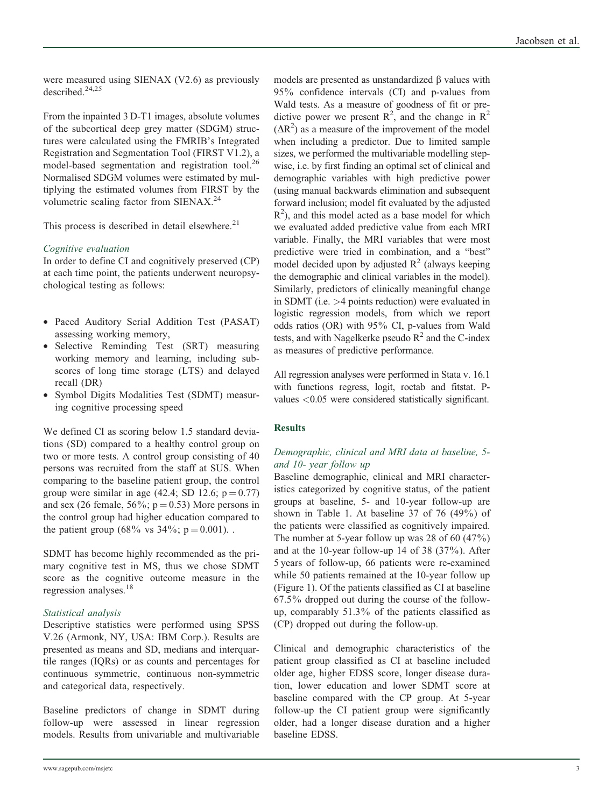were measured using SIENAX (V2.6) as previously described.24,25

From the inpainted 3 D-T1 images, absolute volumes of the subcortical deep grey matter (SDGM) structures were calculated using the FMRIB's Integrated Registration and Segmentation Tool (FIRST V1.2), a model-based segmentation and registration tool.<sup>26</sup> Normalised SDGM volumes were estimated by multiplying the estimated volumes from FIRST by the volumetric scaling factor from SIENAX.<sup>24</sup>

This process is described in detail elsewhere. $21$ 

# Cognitive evaluation

In order to define CI and cognitively preserved (CP) at each time point, the patients underwent neuropsychological testing as follows:

- Paced Auditory Serial Addition Test (PASAT) assessing working memory,
- Selective Reminding Test (SRT) measuring working memory and learning, including subscores of long time storage (LTS) and delayed recall (DR)
- Symbol Digits Modalities Test (SDMT) measuring cognitive processing speed

We defined CI as scoring below 1.5 standard deviations (SD) compared to a healthy control group on two or more tests. A control group consisting of 40 persons was recruited from the staff at SUS. When comparing to the baseline patient group, the control group were similar in age (42.4; SD 12.6;  $p = 0.77$ ) and sex (26 female,  $56\%$ ; p = 0.53) More persons in the control group had higher education compared to the patient group (68% vs  $34\%$ ; p = 0.001).

SDMT has become highly recommended as the primary cognitive test in MS, thus we chose SDMT score as the cognitive outcome measure in the regression analyses.<sup>18</sup>

# Statistical analysis

Descriptive statistics were performed using SPSS V.26 (Armonk, NY, USA: IBM Corp.). Results are presented as means and SD, medians and interquartile ranges (IQRs) or as counts and percentages for continuous symmetric, continuous non-symmetric and categorical data, respectively.

Baseline predictors of change in SDMT during follow-up were assessed in linear regression models. Results from univariable and multivariable

models are presented as unstandardized  $\beta$  values with 95% confidence intervals (CI) and p-values from Wald tests. As a measure of goodness of fit or predictive power we present  $R^2$ , and the change in  $R^2$  $(\Delta R^2)$  as a measure of the improvement of the model when including a predictor. Due to limited sample sizes, we performed the multivariable modelling stepwise, i.e. by first finding an optimal set of clinical and demographic variables with high predictive power (using manual backwards elimination and subsequent forward inclusion; model fit evaluated by the adjusted  $R<sup>2</sup>$ ), and this model acted as a base model for which we evaluated added predictive value from each MRI variable. Finally, the MRI variables that were most predictive were tried in combination, and a "best" model decided upon by adjusted  $R^2$  (always keeping the demographic and clinical variables in the model). Similarly, predictors of clinically meaningful change in SDMT (i.e. >4 points reduction) were evaluated in logistic regression models, from which we report odds ratios (OR) with 95% CI, p-values from Wald tests, and with Nagelkerke pseudo  $R^2$  and the C-index as measures of predictive performance.

All regression analyses were performed in Stata v. 16.1 with functions regress, logit, roctab and fitstat. Pvalues <0.05 were considered statistically significant.

# **Results**

# Demographic, clinical and MRI data at baseline, 5 and 10- year follow up

Baseline demographic, clinical and MRI characteristics categorized by cognitive status, of the patient groups at baseline, 5- and 10-year follow-up are shown in Table 1. At baseline  $37$  of  $76$  (49%) of the patients were classified as cognitively impaired. The number at 5-year follow up was 28 of 60 (47%) and at the 10-year follow-up 14 of 38 (37%). After 5 years of follow-up, 66 patients were re-examined while 50 patients remained at the 10-year follow up (Figure 1). Of the patients classified as CI at baseline 67.5% dropped out during the course of the followup, comparably 51.3% of the patients classified as (CP) dropped out during the follow-up.

Clinical and demographic characteristics of the patient group classified as CI at baseline included older age, higher EDSS score, longer disease duration, lower education and lower SDMT score at baseline compared with the CP group. At 5-year follow-up the CI patient group were significantly older, had a longer disease duration and a higher baseline EDSS.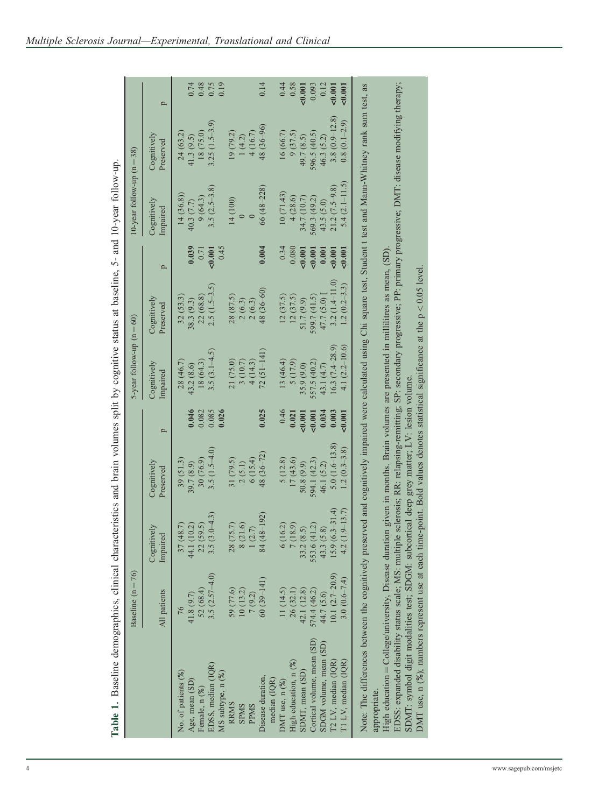| Table 1. Baseline demographics, clinical characteristics and brain volumes split by cognitive status at baseline, 5- and 10-year follow-up                                                                                  |                     |                                                        |                                                                             |       |                             |                          |        |                               |                          |         |
|-----------------------------------------------------------------------------------------------------------------------------------------------------------------------------------------------------------------------------|---------------------|--------------------------------------------------------|-----------------------------------------------------------------------------|-------|-----------------------------|--------------------------|--------|-------------------------------|--------------------------|---------|
|                                                                                                                                                                                                                             | Baseline $(n = 76)$ |                                                        |                                                                             |       | 5-year follow-up $(n = 60)$ |                          |        | $10$ -year follow-up $(n=38)$ |                          |         |
|                                                                                                                                                                                                                             | All patients        | Cognitively<br>Impaired                                | Cognitively<br>Preserved                                                    | p     | Cognitively<br>Impaired     | Cognitively<br>Preserved | p      | Cognitively<br>Impaired       | Cognitively<br>Preserved | p       |
| No. of patients (%)                                                                                                                                                                                                         | 76                  | 37 (48.7)                                              | 39(51.3)                                                                    |       | 28 (46.7)                   | 32(53.3)                 |        | 14(36.8)                      | 24 (63.2)                |         |
| Age, mean (SD                                                                                                                                                                                                               | 41.8 (9.7)          | 44.1 (10.2)                                            | 39.7 (8.9)                                                                  | 0.046 | 43.2 (8.6)                  | 38.3 (9.3)               | 0.039  | 40.3(7.7)                     | 41.3(9.5)                | 0.74    |
| Female, n (%)                                                                                                                                                                                                               | 52 (68.4)           |                                                        | 30 (76.9)                                                                   | 0.082 | 18 (64.3)                   | 22 (68.8)                | 0.71   | 9(64.3)                       | 18 (75.0)                | 0.48    |
| EDSS, median (IQR)                                                                                                                                                                                                          | 3.5 $(2.57 - 4.0)$  | $22(59.5)$<br>3.5 $(3.0-4.3)$                          | 3.5 $(1.5-4.0)$                                                             | 0.085 | 3.5 $(3.1-4.5)$             | $2.5(1.5-3.5)$           | 50.001 | $3.5(2.5-3.8)$                | $3.25(1.5-3.9)$          | 0.75    |
| MS subtype, n (%)                                                                                                                                                                                                           |                     |                                                        |                                                                             | 0.026 |                             |                          | 0.45   |                               |                          | 0.19    |
| RRMS                                                                                                                                                                                                                        | 59 (77.6)           | 28 (75.7)                                              | 31 (79.5)                                                                   |       | 21 (75.0)                   | 28 (87.5)                |        | 14 (100)                      | 19 (79.2)                |         |
| <b>SPMS</b>                                                                                                                                                                                                                 | 10(13.2)            |                                                        | 2(5.1)                                                                      |       | 3(10.7)                     | 2(6.3)                   |        |                               | 1(4.2)                   |         |
| <b>PPMS</b>                                                                                                                                                                                                                 | 7(9.2)              | $\begin{array}{c} 8 \ (21.6) \\ 1 \ (2.7) \end{array}$ | 6(15.4)                                                                     |       | 4(14.3)                     | 2(6.3)                   |        |                               | 4(16.7)                  |         |
| Disease duration,                                                                                                                                                                                                           | $60(39-141)$        | 84 (48-192)                                            | $48(36-72)$                                                                 | 0.025 | $72(51 - 141)$              | 48 (36-60)               | 0.004  | $66(48-228)$                  | 48 (36–96)               | 0.14    |
| median (IQR)                                                                                                                                                                                                                |                     |                                                        |                                                                             |       |                             |                          |        |                               |                          |         |
| DMT use, $n$ $(%)$                                                                                                                                                                                                          | 11(14.5)            | 6(16.2)                                                | 5(12.8)                                                                     | 0.46  | 13 (46.4)                   | 12(37.5)                 | 0.34   | 10(71.43)                     | 16 (66.7)                | 0.44    |
| High education, n (%)                                                                                                                                                                                                       | 26 (32.1)           | 7 (18.9)                                               | 17(43.6)                                                                    | 0.021 | 5(17.9)                     | 12(37.5)                 | 0.080  | 4(28.6)                       | 9(37.5)                  | 0.58    |
| SDMT, mean (SD)                                                                                                                                                                                                             | 42.1 (12.8)         | 33.2 $(8.5)$                                           | 50.8(9.9)                                                                   | 0.001 | 35.9 (9.0)                  | 51.7 (9.9)               | 0.001  | 34.7 (10.7)                   | 49.7 (8.5)               | < 0.001 |
| Cortical volume, mean (SD)                                                                                                                                                                                                  | 574.4 (46.2)        | 553.6 (41.2)                                           | 594.1 (42.3)                                                                | 0.001 | 557.5 (40.2)                | 599.7 (41.5)             | 0.001  | 569.3 (49.2)                  | 596.5 (40.5)             | 0.093   |
| SDGM volume, mean (SD)                                                                                                                                                                                                      | 44.7 (5.6)          | 43.3 (5.8)                                             | 46.1 (5.2)                                                                  | 0.034 | 43.1 (4.7)                  | 47.7 (5.0)               | 0.001  | 43.5 (5.0)                    | 46.3(5.2)                | 0.12    |
| T2 LV, median (IQR)                                                                                                                                                                                                         | 10.1 $(2.7-20.9)$   | $15.9(6.3 - 31.4)$                                     | $5.0(1.6-13.8)$                                                             | 0.003 | $16.3(7.4-28.9)$            | $3.2(1.4 - 11.0)$        | 0.001  | $21.2(7.5-9.8)$               | $3.8(0.9 - 12.8)$        | 0.001   |
| T1 LV, median (IQR)                                                                                                                                                                                                         | 3.0 $(0.6 - 7.4)$   | $4.2(1.9-13.7)$                                        | $1.2(0.3-3.8)$                                                              | 0.001 | 4.1 $(2.2 - 10.6)$          | $1.2(0.2-3.3)$           | 0.001  | $5.4(2.1-11.5)$               | $0.8(0.1-2.9)$           | 0.001   |
| Note: The differences between the cognitively preserved and cognitively impaired were calculated using Chi square test, Student t test and Mann-Whitney rank sum test, as                                                   |                     |                                                        |                                                                             |       |                             |                          |        |                               |                          |         |
| appropriate.                                                                                                                                                                                                                |                     |                                                        |                                                                             |       |                             |                          |        |                               |                          |         |
| High education = College/university, Disease duration                                                                                                                                                                       |                     |                                                        | given in months. Brain volumes are presented in millilitires as mean, (SD). |       |                             |                          |        |                               |                          |         |
| EDSS: expanded disability status scale; MS: multiple sclerosis; RR: relapsing-remitting; SP: secondary progressive; PP: primary progressive; DMT: disease modifying therapy;                                                |                     |                                                        |                                                                             |       |                             |                          |        |                               |                          |         |
| DMT use, n (%); numbers represent use at each time-point. Bold values denotes statistical significance at the $p < 0.05$ level<br>SDMT: symbol digit modalities test; SDGM: subcortical deep grey matter; LV: lesion volume |                     |                                                        |                                                                             |       |                             |                          |        |                               |                          |         |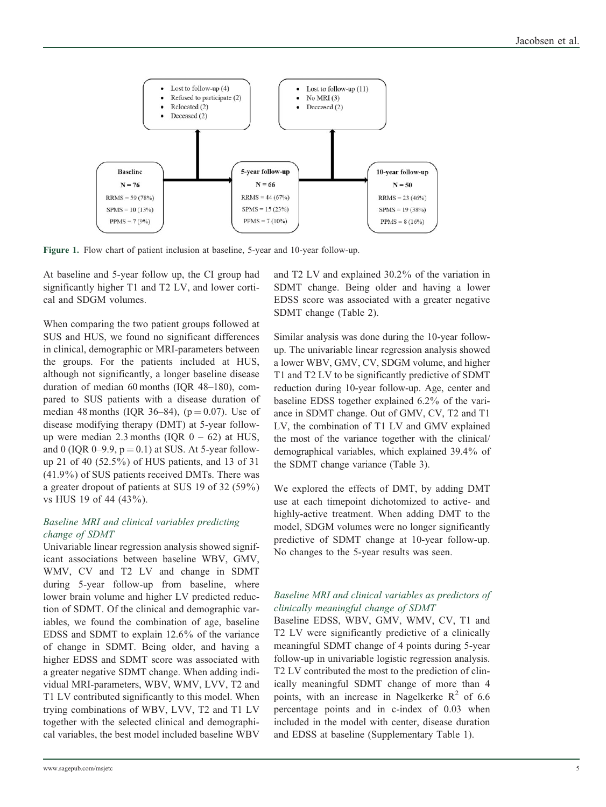

Figure 1. Flow chart of patient inclusion at baseline, 5-year and 10-year follow-up.

At baseline and 5-year follow up, the CI group had significantly higher T1 and T2 LV, and lower cortical and SDGM volumes.

When comparing the two patient groups followed at SUS and HUS, we found no significant differences in clinical, demographic or MRI-parameters between the groups. For the patients included at HUS, although not significantly, a longer baseline disease duration of median 60 months (IQR 48–180), compared to SUS patients with a disease duration of median 48 months (IQR 36–84),  $(p = 0.07)$ . Use of disease modifying therapy (DMT) at 5-year followup were median 2.3 months (IQR  $0 - 62$ ) at HUS, and 0 (IQR 0–9.9,  $p = 0.1$ ) at SUS. At 5-year followup 21 of 40 (52.5%) of HUS patients, and 13 of 31 (41.9%) of SUS patients received DMTs. There was a greater dropout of patients at SUS 19 of 32 (59%) vs HUS 19 of 44 (43%).

# Baseline MRI and clinical variables predicting change of SDMT

Univariable linear regression analysis showed significant associations between baseline WBV, GMV, WMV, CV and T2 LV and change in SDMT during 5-year follow-up from baseline, where lower brain volume and higher LV predicted reduction of SDMT. Of the clinical and demographic variables, we found the combination of age, baseline EDSS and SDMT to explain 12.6% of the variance of change in SDMT. Being older, and having a higher EDSS and SDMT score was associated with a greater negative SDMT change. When adding individual MRI-parameters, WBV, WMV, LVV, T2 and T1 LV contributed significantly to this model. When trying combinations of WBV, LVV, T2 and T1 LV together with the selected clinical and demographical variables, the best model included baseline WBV

and T2 LV and explained 30.2% of the variation in SDMT change. Being older and having a lower EDSS score was associated with a greater negative SDMT change (Table 2).

Similar analysis was done during the 10-year followup. The univariable linear regression analysis showed a lower WBV, GMV, CV, SDGM volume, and higher T1 and T2 LV to be significantly predictive of SDMT reduction during 10-year follow-up. Age, center and baseline EDSS together explained 6.2% of the variance in SDMT change. Out of GMV, CV, T2 and T1 LV, the combination of T1 LV and GMV explained the most of the variance together with the clinical/ demographical variables, which explained 39.4% of the SDMT change variance (Table 3).

We explored the effects of DMT, by adding DMT use at each timepoint dichotomized to active- and highly-active treatment. When adding DMT to the model, SDGM volumes were no longer significantly predictive of SDMT change at 10-year follow-up. No changes to the 5-year results was seen.

# Baseline MRI and clinical variables as predictors of clinically meaningful change of SDMT

Baseline EDSS, WBV, GMV, WMV, CV, T1 and T2 LV were significantly predictive of a clinically meaningful SDMT change of 4 points during 5-year follow-up in univariable logistic regression analysis. T2 LV contributed the most to the prediction of clinically meaningful SDMT change of more than 4 points, with an increase in Nagelkerke  $R^2$  of 6.6 percentage points and in c-index of 0.03 when included in the model with center, disease duration and EDSS at baseline (Supplementary Table 1).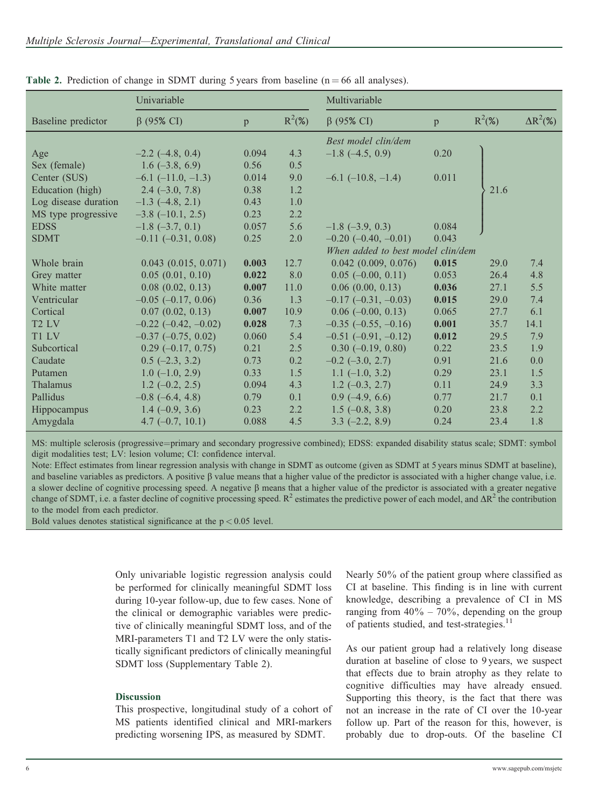|                      | Univariable              |       |           | Multivariable                     |       |           |                  |
|----------------------|--------------------------|-------|-----------|-----------------------------------|-------|-----------|------------------|
| Baseline predictor   | $\beta$ (95% CI)         | p     | $R^2(\%)$ | $\beta$ (95% CI)                  | p     | $R^2(\%)$ | $\Delta R^2(\%)$ |
|                      |                          |       |           | Best model clin/dem               |       |           |                  |
| Age                  | $-2.2$ ( $-4.8$ , 0.4)   | 0.094 | 4.3       | $-1.8$ ( $-4.5$ , 0.9)            | 0.20  |           |                  |
| Sex (female)         | $1.6(-3.8, 6.9)$         | 0.56  | 0.5       |                                   |       |           |                  |
| Center (SUS)         | $-6.1$ $(-11.0, -1.3)$   | 0.014 | 9.0       | $-6.1$ ( $-10.8$ , $-1.4$ )       | 0.011 |           |                  |
| Education (high)     | $2.4 (-3.0, 7.8)$        | 0.38  | 1.2       |                                   |       | 21.6      |                  |
| Log disease duration | $-1.3$ (-4.8, 2.1)       | 0.43  | 1.0       |                                   |       |           |                  |
| MS type progressive  | $-3.8$ ( $-10.1$ , 2.5)  | 0.23  | 2.2       |                                   |       |           |                  |
| <b>EDSS</b>          | $-1.8$ $(-3.7, 0.1)$     | 0.057 | 5.6       | $-1.8$ ( $-3.9$ , 0.3)            | 0.084 |           |                  |
| <b>SDMT</b>          | $-0.11$ $(-0.31, 0.08)$  | 0.25  | 2.0       | $-0.20$ ( $-0.40$ , $-0.01$ )     | 0.043 |           |                  |
|                      |                          |       |           | When added to best model clin/dem |       |           |                  |
| Whole brain          | $0.043$ $(0.015, 0.071)$ | 0.003 | 12.7      | 0.042(0.009, 0.076)               | 0.015 | 29.0      | 7.4              |
| Grey matter          | 0.05(0.01, 0.10)         | 0.022 | 8.0       | $0.05$ (-0.00, 0.11)              | 0.053 | 26.4      | 4.8              |
| White matter         | $0.08$ $(0.02, 0.13)$    | 0.007 | 11.0      | 0.06(0.00, 0.13)                  | 0.036 | 27.1      | 5.5              |
| Ventricular          | $-0.05$ $(-0.17, 0.06)$  | 0.36  | 1.3       | $-0.17$ ( $-0.31$ , $-0.03$ )     | 0.015 | 29.0      | 7.4              |
| Cortical             | 0.07(0.02, 0.13)         | 0.007 | 10.9      | $0.06$ (-0.00, 0.13)              | 0.065 | 27.7      | 6.1              |
| T <sub>2</sub> LV    | $-0.22$ $(-0.42, -0.02)$ | 0.028 | 7.3       | $-0.35$ ( $-0.55$ , $-0.16$ )     | 0.001 | 35.7      | 14.1             |
| T1 LV                | $-0.37$ $(-0.75, 0.02)$  | 0.060 | 5.4       | $-0.51$ $(-0.91, -0.12)$          | 0.012 | 29.5      | 7.9              |
| Subcortical          | $0.29(-0.17, 0.75)$      | 0.21  | 2.5       | $0.30(-0.19, 0.80)$               | 0.22  | 23.5      | 1.9              |
| Caudate              | $0.5$ (-2.3, 3.2)        | 0.73  | 0.2       | $-0.2$ $(-3.0, 2.7)$              | 0.91  | 21.6      | 0.0              |
| Putamen              | $1.0$ (-1.0, 2.9)        | 0.33  | 1.5       | $1.1 (-1.0, 3.2)$                 | 0.29  | 23.1      | 1.5              |
| Thalamus             | $1.2 (-0.2, 2.5)$        | 0.094 | 4.3       | $1.2 (-0.3, 2.7)$                 | 0.11  | 24.9      | 3.3              |
| Pallidus             | $-0.8$ ( $-6.4$ , 4.8)   | 0.79  | 0.1       | $0.9$ (-4.9, 6.6)                 | 0.77  | 21.7      | 0.1              |
| <b>Hippocampus</b>   | $1.4 (-0.9, 3.6)$        | 0.23  | 2.2       | $1.5(-0.8, 3.8)$                  | 0.20  | 23.8      | 2.2              |
| Amygdala             | $4.7(-0.7, 10.1)$        | 0.088 | 4.5       | $3.3 (-2.2, 8.9)$                 | 0.24  | 23.4      | 1.8              |

Table 2. Prediction of change in SDMT during 5 years from baseline ( $n = 66$  all analyses).

MS: multiple sclerosis (progressive=primary and secondary progressive combined); EDSS: expanded disability status scale; SDMT: symbol digit modalities test; LV: lesion volume; CI: confidence interval.

Note: Effect estimates from linear regression analysis with change in SDMT as outcome (given as SDMT at 5 years minus SDMT at baseline), and baseline variables as predictors. A positive  $\beta$  value means that a higher value of the predictor is associated with a higher change value, i.e. a slower decline of cognitive processing speed. A negative  $\beta$  means that a higher value of the predictor is associated with a greater negative change of SDMT, i.e. a faster decline of cognitive processing speed.  $R^2$  estimates the predictive power of each model, and  $\Delta R^2$  the contribution to the model from each predictor.

Bold values denotes statistical significance at the  $p < 0.05$  level.

Only univariable logistic regression analysis could be performed for clinically meaningful SDMT loss during 10-year follow-up, due to few cases. None of the clinical or demographic variables were predictive of clinically meaningful SDMT loss, and of the MRI-parameters T1 and T2 LV were the only statistically significant predictors of clinically meaningful SDMT loss (Supplementary Table 2).

# Discussion

This prospective, longitudinal study of a cohort of MS patients identified clinical and MRI-markers predicting worsening IPS, as measured by SDMT.

Nearly 50% of the patient group where classified as CI at baseline. This finding is in line with current knowledge, describing a prevalence of CI in MS ranging from  $40\% - 70\%$ , depending on the group of patients studied, and test-strategies.<sup>11</sup>

As our patient group had a relatively long disease duration at baseline of close to 9 years, we suspect that effects due to brain atrophy as they relate to cognitive difficulties may have already ensued. Supporting this theory, is the fact that there was not an increase in the rate of CI over the 10-year follow up. Part of the reason for this, however, is probably due to drop-outs. Of the baseline CI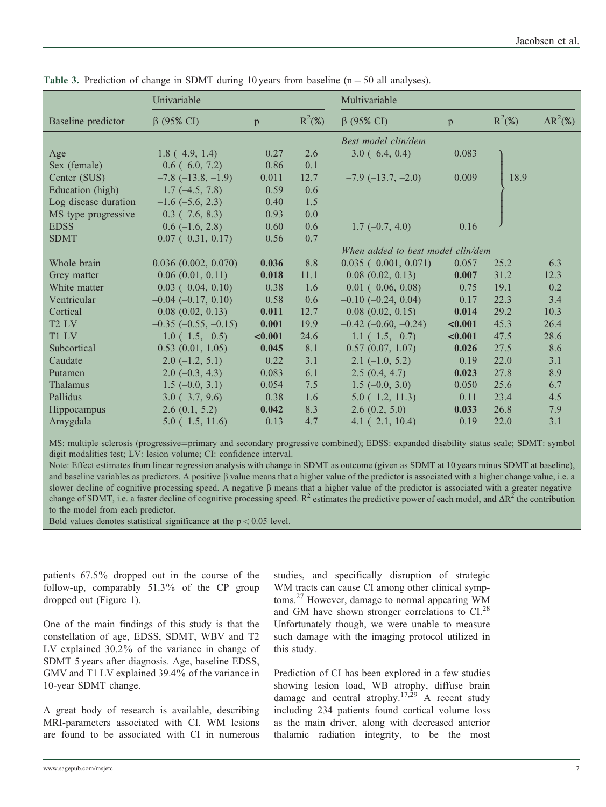|                               | Univariable                 |         |           | Multivariable                     |         |           |                  |
|-------------------------------|-----------------------------|---------|-----------|-----------------------------------|---------|-----------|------------------|
| Baseline predictor            | $\beta$ (95% CI)            | p       | $R^2$ (%) | $\beta$ (95% CI)                  | p       | $R^2$ (%) | $\Delta R^2(\%)$ |
|                               |                             |         |           | Best model clin/dem               |         |           |                  |
| Age                           | $-1.8$ ( $-4.9$ , 1.4)      | 0.27    | 2.6       | $-3.0$ (-6.4, 0.4)                | 0.083   |           |                  |
| Sex (female)                  | $0.6$ (-6.0, 7.2)           | 0.86    | 0.1       |                                   |         |           |                  |
| Center (SUS)                  | $-7.8$ ( $-13.8$ , $-1.9$ ) | 0.011   | 12.7      | $-7.9$ ( $-13.7, -2.0$ )          | 0.009   | 18.9      |                  |
| Education (high)              | $1.7(-4.5, 7.8)$            | 0.59    | 0.6       |                                   |         |           |                  |
| Log disease duration          | $-1.6$ ( $-5.6$ , 2.3)      | 0.40    | 1.5       |                                   |         |           |                  |
| MS type progressive           | $0.3$ (-7.6, 8.3)           | 0.93    | 0.0       |                                   |         |           |                  |
| <b>EDSS</b>                   | $0.6$ (-1.6, 2.8)           | 0.60    | 0.6       | $1.7(-0.7, 4.0)$                  | 0.16    |           |                  |
| <b>SDMT</b>                   | $-0.07$ $(-0.31, 0.17)$     | 0.56    | 0.7       |                                   |         |           |                  |
|                               |                             |         |           | When added to best model clin/dem |         |           |                  |
| Whole brain                   | $0.036$ $(0.002, 0.070)$    | 0.036   | 8.8       | $0.035 (-0.001, 0.071)$           | 0.057   | 25.2      | 6.3              |
| Grey matter                   | 0.06(0.01, 0.11)            | 0.018   | 11.1      | $0.08$ $(0.02, 0.13)$             | 0.007   | 31.2      | 12.3             |
| White matter                  | $0.03$ (-0.04, 0.10)        | 0.38    | 1.6       | $0.01$ (-0.06, 0.08)              | 0.75    | 19.1      | 0.2              |
| Ventricular                   | $-0.04$ $(-0.17, 0.10)$     | 0.58    | 0.6       | $-0.10$ $(-0.24, 0.04)$           | 0.17    | 22.3      | 3.4              |
| Cortical                      | $0.08$ $(0.02, 0.13)$       | 0.011   | 12.7      | $0.08$ $(0.02, 0.15)$             | 0.014   | 29.2      | 10.3             |
| T <sub>2</sub> L <sub>V</sub> | $-0.35$ $(-0.55, -0.15)$    | 0.001   | 19.9      | $-0.42$ ( $-0.60, -0.24$ )        | < 0.001 | 45.3      | 26.4             |
| T1 LV                         | $-1.0$ ( $-1.5, -0.5$ )     | < 0.001 | 24.6      | $-1.1$ $(-1.5, -0.7)$             | < 0.001 | 47.5      | 28.6             |
| Subcortical                   | 0.53(0.01, 1.05)            | 0.045   | 8.1       | 0.57(0.07, 1.07)                  | 0.026   | 27.5      | 8.6              |
| Caudate                       | $2.0$ (-1.2, 5.1)           | 0.22    | 3.1       | $2.1 (-1.0, 5.2)$                 | 0.19    | 22.0      | 3.1              |
| Putamen                       | $2.0 (-0.3, 4.3)$           | 0.083   | 6.1       | 2.5(0.4, 4.7)                     | 0.023   | 27.8      | 8.9              |
| Thalamus                      | $1.5(-0.0, 3.1)$            | 0.054   | 7.5       | $1.5(-0.0, 3.0)$                  | 0.050   | 25.6      | 6.7              |
| Pallidus                      | $3.0 (-3.7, 9.6)$           | 0.38    | 1.6       | $5.0$ (-1.2, 11.3)                | 0.11    | 23.4      | 4.5              |
| Hippocampus                   | 2.6(0.1, 5.2)               | 0.042   | 8.3       | 2.6(0.2, 5.0)                     | 0.033   | 26.8      | 7.9              |
| Amygdala                      | $5.0$ (-1.5, 11.6)          | 0.13    | 4.7       | 4.1 $(-2.1, 10.4)$                | 0.19    | 22.0      | 3.1              |

Table 3. Prediction of change in SDMT during 10 years from baseline ( $n = 50$  all analyses).

MS: multiple sclerosis (progressive=primary and secondary progressive combined); EDSS: expanded disability status scale; SDMT: symbol digit modalities test; LV: lesion volume; CI: confidence interval.

Note: Effect estimates from linear regression analysis with change in SDMT as outcome (given as SDMT at 10 years minus SDMT at baseline), and baseline variables as predictors. A positive  $\beta$  value means that a higher value of the predictor is associated with a higher change value, i.e. a slower decline of cognitive processing speed. A negative  $\beta$  means that a higher value of the predictor is associated with a greater negative change of SDMT, i.e. a faster decline of cognitive processing speed.  $R^2$  estimates the predictive power of each model, and  $\Delta R^2$  the contribution to the model from each predictor.

Bold values denotes statistical significance at the  $p < 0.05$  level.

patients 67.5% dropped out in the course of the follow-up, comparably 51.3% of the CP group dropped out (Figure 1).

One of the main findings of this study is that the constellation of age, EDSS, SDMT, WBV and T2 LV explained 30.2% of the variance in change of SDMT 5 years after diagnosis. Age, baseline EDSS, GMV and T1 LV explained 39.4% of the variance in 10-year SDMT change.

A great body of research is available, describing MRI-parameters associated with CI. WM lesions are found to be associated with CI in numerous

studies, and specifically disruption of strategic WM tracts can cause CI among other clinical symptoms.<sup>27</sup> However, damage to normal appearing WM and GM have shown stronger correlations to CI.<sup>28</sup> Unfortunately though, we were unable to measure such damage with the imaging protocol utilized in this study.

Prediction of CI has been explored in a few studies showing lesion load, WB atrophy, diffuse brain damage and central atrophy.<sup>17,29</sup> A recent study including 234 patients found cortical volume loss as the main driver, along with decreased anterior thalamic radiation integrity, to be the most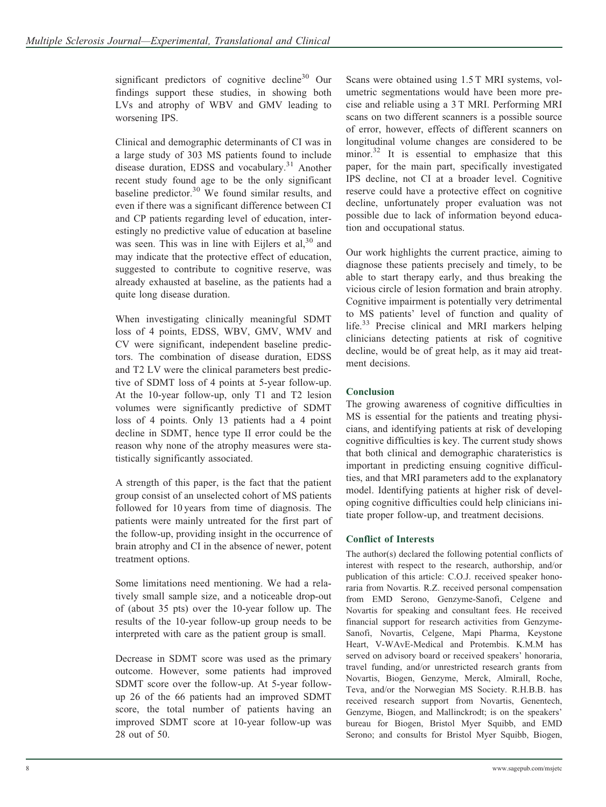significant predictors of cognitive decline<sup>30</sup> Our findings support these studies, in showing both LVs and atrophy of WBV and GMV leading to worsening IPS.

Clinical and demographic determinants of CI was in a large study of 303 MS patients found to include disease duration, EDSS and vocabulary.<sup>31</sup> Another recent study found age to be the only significant baseline predictor.<sup>30</sup> We found similar results, and even if there was a significant difference between CI and CP patients regarding level of education, interestingly no predictive value of education at baseline was seen. This was in line with Eijlers et  $al<sub>1</sub><sup>30</sup>$  and may indicate that the protective effect of education, suggested to contribute to cognitive reserve, was already exhausted at baseline, as the patients had a quite long disease duration.

When investigating clinically meaningful SDMT loss of 4 points, EDSS, WBV, GMV, WMV and CV were significant, independent baseline predictors. The combination of disease duration, EDSS and T2 LV were the clinical parameters best predictive of SDMT loss of 4 points at 5-year follow-up. At the 10-year follow-up, only T1 and T2 lesion volumes were significantly predictive of SDMT loss of 4 points. Only 13 patients had a 4 point decline in SDMT, hence type II error could be the reason why none of the atrophy measures were statistically significantly associated.

A strength of this paper, is the fact that the patient group consist of an unselected cohort of MS patients followed for 10 years from time of diagnosis. The patients were mainly untreated for the first part of the follow-up, providing insight in the occurrence of brain atrophy and CI in the absence of newer, potent treatment options.

Some limitations need mentioning. We had a relatively small sample size, and a noticeable drop-out of (about 35 pts) over the 10-year follow up. The results of the 10-year follow-up group needs to be interpreted with care as the patient group is small.

Decrease in SDMT score was used as the primary outcome. However, some patients had improved SDMT score over the follow-up. At 5-year followup 26 of the 66 patients had an improved SDMT score, the total number of patients having an improved SDMT score at 10-year follow-up was 28 out of 50.

Scans were obtained using 1.5 T MRI systems, volumetric segmentations would have been more precise and reliable using a 3 T MRI. Performing MRI scans on two different scanners is a possible source of error, however, effects of different scanners on longitudinal volume changes are considered to be minor.<sup>32</sup> It is essential to emphasize that this paper, for the main part, specifically investigated IPS decline, not CI at a broader level. Cognitive reserve could have a protective effect on cognitive decline, unfortunately proper evaluation was not possible due to lack of information beyond education and occupational status.

Our work highlights the current practice, aiming to diagnose these patients precisely and timely, to be able to start therapy early, and thus breaking the vicious circle of lesion formation and brain atrophy. Cognitive impairment is potentially very detrimental to MS patients' level of function and quality of life.<sup>33</sup> Precise clinical and MRI markers helping clinicians detecting patients at risk of cognitive decline, would be of great help, as it may aid treatment decisions.

# Conclusion

The growing awareness of cognitive difficulties in MS is essential for the patients and treating physicians, and identifying patients at risk of developing cognitive difficulties is key. The current study shows that both clinical and demographic charateristics is important in predicting ensuing cognitive difficulties, and that MRI parameters add to the explanatory model. Identifying patients at higher risk of developing cognitive difficulties could help clinicians initiate proper follow-up, and treatment decisions.

# Conflict of Interests

The author(s) declared the following potential conflicts of interest with respect to the research, authorship, and/or publication of this article: C.O.J. received speaker honoraria from Novartis. R.Z. received personal compensation from EMD Serono, Genzyme-Sanofi, Celgene and Novartis for speaking and consultant fees. He received financial support for research activities from Genzyme-Sanofi, Novartis, Celgene, Mapi Pharma, Keystone Heart, V-WAvE-Medical and Protembis. K.M.M has served on advisory board or received speakers' honoraria, travel funding, and/or unrestricted research grants from Novartis, Biogen, Genzyme, Merck, Almirall, Roche, Teva, and/or the Norwegian MS Society. R.H.B.B. has received research support from Novartis, Genentech, Genzyme, Biogen, and Mallinckrodt; is on the speakers' bureau for Biogen, Bristol Myer Squibb, and EMD Serono; and consults for Bristol Myer Squibb, Biogen,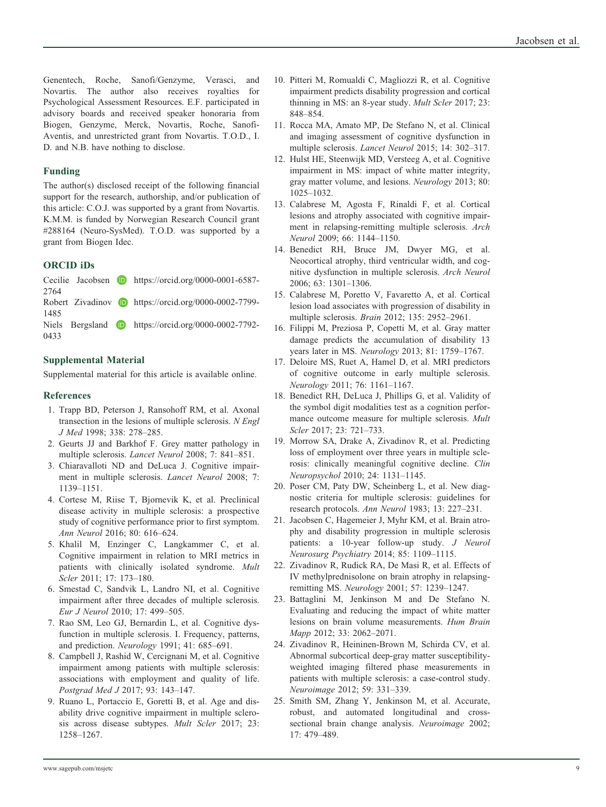Genentech, Roche, Sanofi/Genzyme, Verasci, and Novartis. The author also receives royalties for Psychological Assessment Resources. E.F. participated in advisory boards and received speaker honoraria from Biogen, Genzyme, Merck, Novartis, Roche, Sanofi-Aventis, and unrestricted grant from Novartis. T.O.D., I. D. and N.B. have nothing to disclose.

# Funding

The author(s) disclosed receipt of the following financial support for the research, authorship, and/or publication of this article: C.O.J. was supported by a grant from Novartis. K.M.M. is funded by Norwegian Research Council grant #288164 (Neuro-SysMed). T.O.D. was supported by a grant from Biogen Idec.

## ORCID iDs

|      |  | Cecilie Jacobsen $\bullet$ https://orcid.org/0000-0001-6587- |
|------|--|--------------------------------------------------------------|
| 2764 |  |                                                              |
|      |  | Robert Zivadinov D https://orcid.org/0000-0002-7799-         |
| 1485 |  |                                                              |
|      |  | Niels Bergsland <b>D</b> https://orcid.org/0000-0002-7792-   |
| 0433 |  |                                                              |

# Supplemental Material

Supplemental material for this article is available online.

# **References**

- 1. Trapp BD, Peterson J, Ransohoff RM, et al. Axonal transection in the lesions of multiple sclerosis. N Engl J Med 1998; 338: 278–285.
- 2. Geurts JJ and Barkhof F. Grey matter pathology in multiple sclerosis. Lancet Neurol 2008; 7: 841–851.
- 3. Chiaravalloti ND and DeLuca J. Cognitive impairment in multiple sclerosis. Lancet Neurol 2008; 7: 1139–1151.
- 4. Cortese M, Riise T, Bjornevik K, et al. Preclinical disease activity in multiple sclerosis: a prospective study of cognitive performance prior to first symptom. Ann Neurol 2016; 80: 616–624.
- 5. Khalil M, Enzinger C, Langkammer C, et al. Cognitive impairment in relation to MRI metrics in patients with clinically isolated syndrome. Mult Scler 2011; 17: 173–180.
- 6. Smestad C, Sandvik L, Landro NI, et al. Cognitive impairment after three decades of multiple sclerosis. Eur J Neurol 2010; 17: 499–505.
- 7. Rao SM, Leo GJ, Bernardin L, et al. Cognitive dysfunction in multiple sclerosis. I. Frequency, patterns, and prediction. Neurology 1991; 41: 685–691.
- 8. Campbell J, Rashid W, Cercignani M, et al. Cognitive impairment among patients with multiple sclerosis: associations with employment and quality of life. Postgrad Med J 2017; 93: 143–147.
- 9. Ruano L, Portaccio E, Goretti B, et al. Age and disability drive cognitive impairment in multiple sclerosis across disease subtypes. Mult Scler 2017; 23: 1258–1267.
- 10. Pitteri M, Romualdi C, Magliozzi R, et al. Cognitive impairment predicts disability progression and cortical thinning in MS: an 8-year study. Mult Scler 2017; 23: 848–854.
- 11. Rocca MA, Amato MP, De Stefano N, et al. Clinical and imaging assessment of cognitive dysfunction in multiple sclerosis. Lancet Neurol 2015; 14: 302–317.
- 12. Hulst HE, Steenwijk MD, Versteeg A, et al. Cognitive impairment in MS: impact of white matter integrity, gray matter volume, and lesions. Neurology 2013; 80: 1025–1032.
- 13. Calabrese M, Agosta F, Rinaldi F, et al. Cortical lesions and atrophy associated with cognitive impairment in relapsing-remitting multiple sclerosis. Arch Neurol 2009; 66: 1144–1150.
- 14. Benedict RH, Bruce JM, Dwyer MG, et al. Neocortical atrophy, third ventricular width, and cognitive dysfunction in multiple sclerosis. Arch Neurol 2006; 63: 1301–1306.
- 15. Calabrese M, Poretto V, Favaretto A, et al. Cortical lesion load associates with progression of disability in multiple sclerosis. Brain 2012; 135: 2952–2961.
- 16. Filippi M, Preziosa P, Copetti M, et al. Gray matter damage predicts the accumulation of disability 13 years later in MS. Neurology 2013; 81: 1759–1767.
- 17. Deloire MS, Ruet A, Hamel D, et al. MRI predictors of cognitive outcome in early multiple sclerosis. Neurology 2011; 76: 1161–1167.
- 18. Benedict RH, DeLuca J, Phillips G, et al. Validity of the symbol digit modalities test as a cognition performance outcome measure for multiple sclerosis. Mult Scler 2017; 23: 721–733.
- 19. Morrow SA, Drake A, Zivadinov R, et al. Predicting loss of employment over three years in multiple sclerosis: clinically meaningful cognitive decline. Clin Neuropsychol 2010; 24: 1131–1145.
- 20. Poser CM, Paty DW, Scheinberg L, et al. New diagnostic criteria for multiple sclerosis: guidelines for research protocols. Ann Neurol 1983; 13: 227–231.
- 21. Jacobsen C, Hagemeier J, Myhr KM, et al. Brain atrophy and disability progression in multiple sclerosis patients: a 10-year follow-up study. J Neurol Neurosurg Psychiatry 2014; 85: 1109–1115.
- 22. Zivadinov R, Rudick RA, De Masi R, et al. Effects of IV methylprednisolone on brain atrophy in relapsingremitting MS. Neurology 2001; 57: 1239–1247.
- 23. Battaglini M, Jenkinson M and De Stefano N. Evaluating and reducing the impact of white matter lesions on brain volume measurements. Hum Brain Mapp 2012; 33: 2062–2071.
- 24. Zivadinov R, Heininen-Brown M, Schirda CV, et al. Abnormal subcortical deep-gray matter susceptibilityweighted imaging filtered phase measurements in patients with multiple sclerosis: a case-control study. Neuroimage 2012; 59: 331–339.
- 25. Smith SM, Zhang Y, Jenkinson M, et al. Accurate, robust, and automated longitudinal and crosssectional brain change analysis. Neuroimage 2002; 17: 479–489.